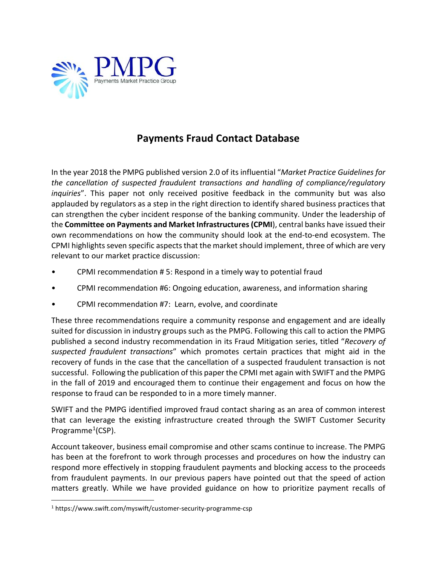

## **Payments Fraud Contact Database**

In the year 2018 the PMPG published version 2.0 of its influential "*Market Practice Guidelines for the cancellation of suspected fraudulent transactions and handling of compliance/regulatory inquiries*". This paper not only received positive feedback in the community but was also applauded by regulators as a step in the right direction to identify shared business practices that can strengthen the cyber incident response of the banking community. Under the leadership of the **Committee on Payments and Market Infrastructures (CPMI**), central banks have issued their own recommendations on how the community should look at the end-to-end ecosystem. The CPMI highlights seven specific aspects that the market should implement, three of which are very relevant to our market practice discussion:

- CPMI recommendation # 5: Respond in a timely way to potential fraud
- CPMI recommendation #6: Ongoing education, awareness, and information sharing
- CPMI recommendation #7: Learn, evolve, and coordinate

These three recommendations require a community response and engagement and are ideally suited for discussion in industry groups such as the PMPG. Following this call to action the PMPG published a second industry recommendation in its Fraud Mitigation series, titled "*Recovery of suspected fraudulent transactions*" which promotes certain practices that might aid in the recovery of funds in the case that the cancellation of a suspected fraudulent transaction is not successful. Following the publication of this paper the CPMI met again with SWIFT and the PMPG in the fall of 2019 and encouraged them to continue their engagement and focus on how the response to fraud can be responded to in a more timely manner.

SWIFT and the PMPG identified improved fraud contact sharing as an area of common interest that can leverage the existing infrastructure created through the SWIFT Customer Security Programme<sup>[1](#page-0-0)</sup>(CSP).

Account takeover, business email compromise and other scams continue to increase. The PMPG has been at the forefront to work through processes and procedures on how the industry can respond more effectively in stopping fraudulent payments and blocking access to the proceeds from fraudulent payments. In our previous papers have pointed out that the speed of action matters greatly. While we have provided guidance on how to prioritize payment recalls of

<span id="page-0-0"></span> <sup>1</sup> https://www.swift.com/myswift/customer-security-programme-csp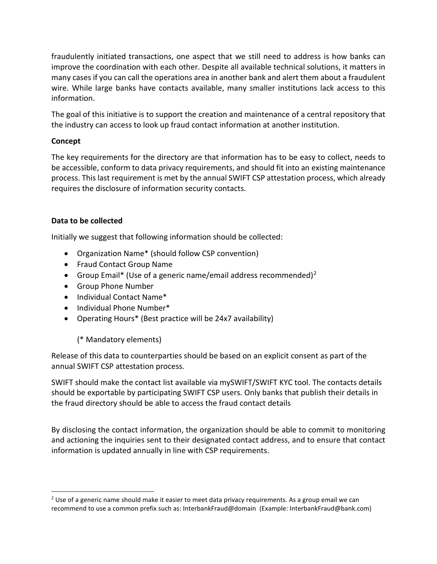fraudulently initiated transactions, one aspect that we still need to address is how banks can improve the coordination with each other. Despite all available technical solutions, it matters in many cases if you can call the operations area in another bank and alert them about a fraudulent wire. While large banks have contacts available, many smaller institutions lack access to this information.

The goal of this initiative is to support the creation and maintenance of a central repository that the industry can access to look up fraud contact information at another institution.

## **Concept**

The key requirements for the directory are that information has to be easy to collect, needs to be accessible, conform to data privacy requirements, and should fit into an existing maintenance process. This last requirement is met by the annual SWIFT CSP attestation process, which already requires the disclosure of information security contacts.

## **Data to be collected**

Initially we suggest that following information should be collected:

- Organization Name\* (should follow CSP convention)
- Fraud Contact Group Name
- Group Email\* (Use of a generic name/email address recommended)<sup>[2](#page-1-0)</sup>
- Group Phone Number
- Individual Contact Name\*
- Individual Phone Number\*
- Operating Hours\* (Best practice will be 24x7 availability)

(\* Mandatory elements)

Release of this data to counterparties should be based on an explicit consent as part of the annual SWIFT CSP attestation process.

SWIFT should make the contact list available via mySWIFT/SWIFT KYC tool. The contacts details should be exportable by participating SWIFT CSP users. Only banks that publish their details in the fraud directory should be able to access the fraud contact details

By disclosing the contact information, the organization should be able to commit to monitoring and actioning the inquiries sent to their designated contact address, and to ensure that contact information is updated annually in line with CSP requirements.

<span id="page-1-0"></span><sup>&</sup>lt;sup>2</sup> Use of a generic name should make it easier to meet data privacy requirements. As a group email we can recommend to use a common prefix such as: InterbankFraud@domain (Example: InterbankFraud@bank.com)